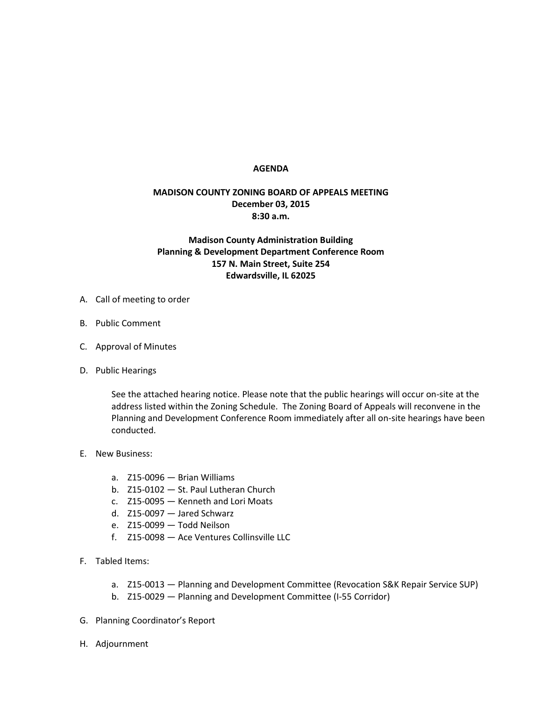## **AGENDA**

## **MADISON COUNTY ZONING BOARD OF APPEALS MEETING December 03, 2015 8:30 a.m.**

## **Madison County Administration Building Planning & Development Department Conference Room 157 N. Main Street, Suite 254 Edwardsville, IL 62025**

- A. Call of meeting to order
- B. Public Comment
- C. Approval of Minutes
- D. Public Hearings

See the attached hearing notice. Please note that the public hearings will occur on-site at the address listed within the Zoning Schedule. The Zoning Board of Appeals will reconvene in the Planning and Development Conference Room immediately after all on-site hearings have been conducted.

- E. New Business:
	- a. Z15-0096 Brian Williams
	- b. Z15-0102 St. Paul Lutheran Church
	- c. Z15-0095 Kenneth and Lori Moats
	- d. Z15-0097 Jared Schwarz
	- e. Z15-0099 Todd Neilson
	- f. Z15-0098 Ace Ventures Collinsville LLC
- F. Tabled Items:
	- a. Z15-0013 Planning and Development Committee (Revocation S&K Repair Service SUP)
	- b. Z15-0029 Planning and Development Committee (I-55 Corridor)
- G. Planning Coordinator's Report
- H. Adjournment